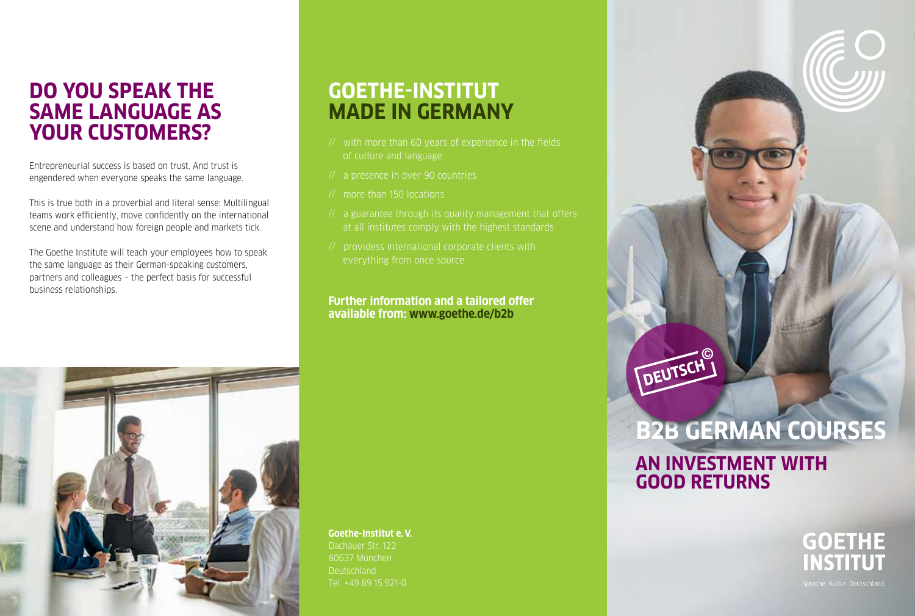### **DO YOU SPEAK THE SAME LANGUAGE AS YOUR CUSTOMERS?**

Entrepreneurial success is based on trust. And trust is engendered when everyone speaks the same language.

This is true both in a proverbial and literal sense: Multilingual teams work efficiently, move confidently on the international scene and understand how foreign people and markets tick.

The Goethe Institute will teach your employees how to speak the same language as their German-speaking customers, partners and colleagues – the perfect basis for successful business relationships.

## **GOETHE-INSTITUT MADE IN GERMANY**

- $\frac{1}{2}$  with more than 60 years of experience in the fields of culture and language
- a presence in over 90 countries
- // more than 150 locations
- $\frac{1}{2}$  a guarantee through its quality management that offers at all institutes comply with the highest standards
- providess international corporate clients with everything from once source

#### **Further information and a tailored offer available from: www.goethe.de/b2b**



**Goethe-Institut e.V.**  Dachauer Str. 122 80637 München **Deutschland** Tel. +49 89 15 921-0

# **B2B GERMAN COURSES AN INVESTMENT WITH GOOD RETURNS**

DEUTSCH<sup>O</sup>